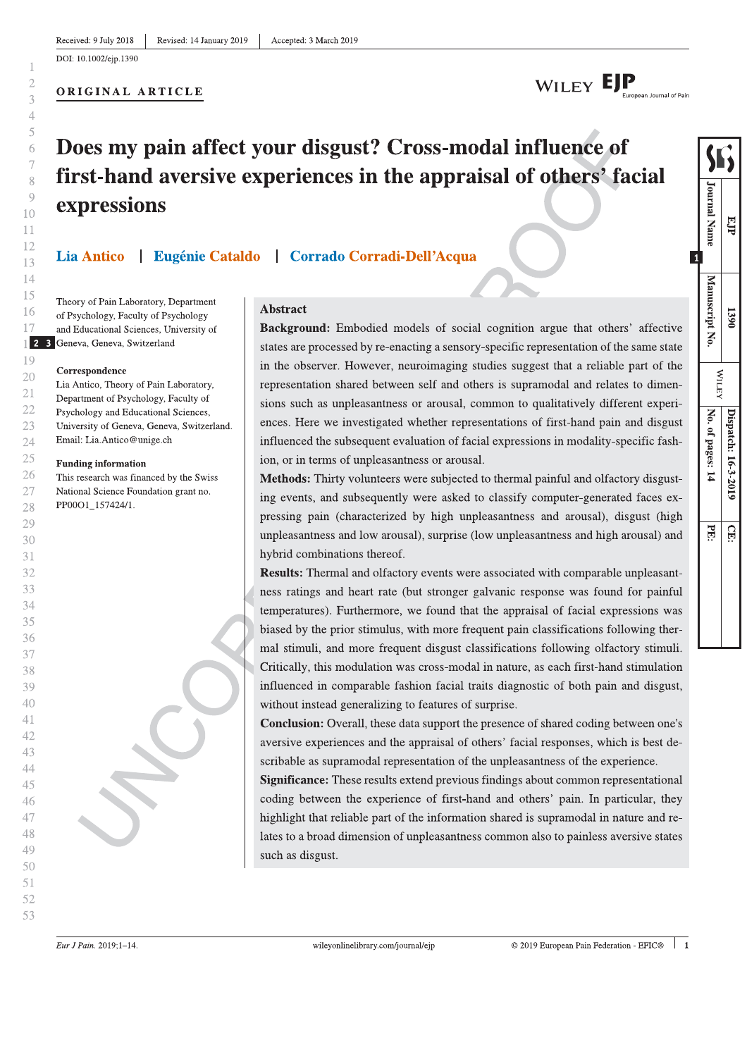$\mathbf{1}$ 

 $\overline{2}$ 

# ORIGINAL ARTICLE

Revised: 14 January 2019

# Does my pain affect your disgust? Cross-modal influence of first-hand aversive experiences in the appraisal of others' facial expressions

# Lia Antico | Eugénie Cataldo | Corrado Corradi-Dell'Acqua

Theory of Pain Laboratory, Department of Psychology, Faculty of Psychology and Educational Sciences, University of 1 2 3 Geneva, Geneva, Switzerland

## Correspondence

Lia Antico, Theory of Pain Laboratory, Department of Psychology, Faculty of Psychology and Educational Sciences, University of Geneva, Geneva, Switzerland. Email: Lia.Antico@unige.ch

## **Funding information**

This research was financed by the Swiss National Science Foundation grant no. PP00O1 157424/1.

# **Abstract**

**Background:** Embodied models of social cognition argue that others' affective states are processed by re-enacting a sensory-specific representation of the same state in the observer. However, neuroimaging studies suggest that a reliable part of the representation shared between self and others is supramodal and relates to dimensions such as unpleasantness or arousal, common to qualitatively different experiences. Here we investigated whether representations of first-hand pain and disgust influenced the subsequent evaluation of facial expressions in modality-specific fashion, or in terms of unpleasantness or arousal.

WILEY EJP

pean Journal of Pain

**Journal Name** 

Manuscript No

 $\overline{1}$ 

EJP

1390

**WILEY** 

No. of pages: 14

Dispatch: 16-3-2019

 $\overline{\overline{\mathbf{G}}}$ PE:

Methods: Thirty volunteers were subjected to thermal painful and olfactory disgusting events, and subsequently were asked to classify computer-generated faces expressing pain (characterized by high unpleasantness and arousal), disgust (high unpleasantness and low arousal), surprise (low unpleasantness and high arousal) and hybrid combinations thereof.

**Results:** Thermal and olfactory events were associated with comparable unpleasantness ratings and heart rate (but stronger galvanic response was found for painful temperatures). Furthermore, we found that the appraisal of facial expressions was biased by the prior stimulus, with more frequent pain classifications following thermal stimuli, and more frequent disgust classifications following olfactory stimuli. Critically, this modulation was cross-modal in nature, as each first-hand stimulation influenced in comparable fashion facial traits diagnostic of both pain and disgust, without instead generalizing to features of surprise.

**Conclusion:** Overall, these data support the presence of shared coding between one's aversive experiences and the appraisal of others' facial responses, which is best describable as supramodal representation of the unpleasantness of the experience.

Significance: These results extend previous findings about common representational coding between the experience of first-hand and others' pain. In particular, they highlight that reliable part of the information shared is supramodal in nature and relates to a broad dimension of unpleasantness common also to painless aversive states such as disgust.

Eur J Pain. 2019:1-14.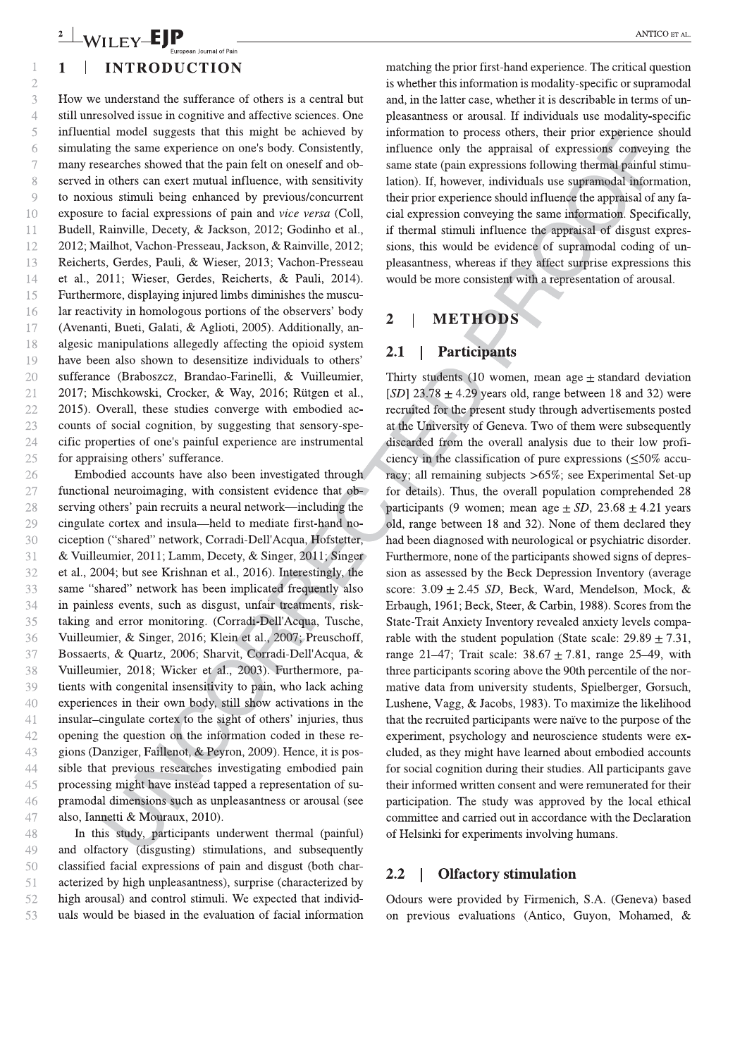## <sup>2</sup> WILEY-EJP Journal of Pain **INTRODUCTION**  $\mathbf{1}$

 $\mathbf{1}$ 

 $\overline{2}$ 

3 How we understand the sufferance of others is a central but  $\overline{4}$ still unresolved issue in cognitive and affective sciences. One 5 influential model suggests that this might be achieved by simulating the same experience on one's body. Consistently, 6  $\tau$ many researches showed that the pain felt on oneself and observed in others can exert mutual influence, with sensitivity 8  $\circ$ to noxious stimuli being enhanced by previous/concurrent 10 exposure to facial expressions of pain and vice versa (Coll,  $11$ Budell, Rainville, Decety, & Jackson, 2012; Godinho et al., 12 2012; Mailhot, Vachon-Presseau, Jackson, & Rainville, 2012; 13 Reicherts, Gerdes, Pauli, & Wieser, 2013; Vachon-Presseau 14 et al., 2011; Wieser, Gerdes, Reicherts, & Pauli, 2014). 15 Furthermore, displaying injured limbs diminishes the muscular reactivity in homologous portions of the observers' body 16 (Avenanti, Bueti, Galati, & Aglioti, 2005). Additionally, an-17 algesic manipulations allegedly affecting the opioid system 18  $19$ have been also shown to desensitize individuals to others' 20 sufferance (Braboszcz, Brandao-Farinelli, & Vuilleumier,  $21$ 2017; Mischkowski, Crocker, & Way, 2016; Rütgen et al., 22 2015). Overall, these studies converge with embodied ac-23 counts of social cognition, by suggesting that sensory-spe-24 cific properties of one's painful experience are instrumental 25 for appraising others' sufferance.

26 Embodied accounts have also been investigated through 27 functional neuroimaging, with consistent evidence that ob-28 serving others' pain recruits a neural network—including the 29 cingulate cortex and insula—held to mediate first-hand no-30 ciception ("shared" network, Corradi-Dell'Acqua, Hofstetter, 31 & Vuilleumier, 2011; Lamm, Decety, & Singer, 2011; Singer 32 et al., 2004; but see Krishnan et al., 2016). Interestingly, the same "shared" network has been implicated frequently also 33 34 in painless events, such as disgust, unfair treatments, risktaking and error monitoring. (Corradi-Dell'Acqua, Tusche, 35 Vuilleumier, & Singer, 2016; Klein et al., 2007; Preuschoff, 36 Bossaerts, & Quartz, 2006; Sharvit, Corradi-Dell'Acqua, & 37 Vuilleumier, 2018; Wicker et al., 2003). Furthermore, pa-38 39 tients with congenital insensitivity to pain, who lack aching experiences in their own body, still show activations in the 40  $41$ insular-cingulate cortex to the sight of others' injuries, thus 42 opening the question on the information coded in these re- $43$ gions (Danziger, Faillenot, & Peyron, 2009). Hence, it is pos-44 sible that previous researches investigating embodied pain processing might have instead tapped a representation of su-45 46 pramodal dimensions such as unpleasantness or arousal (see also, Iannetti & Mouraux, 2010). 47

In this study, participants underwent thermal (painful) 48 49 and olfactory (disgusting) stimulations, and subsequently 50 classified facial expressions of pain and disgust (both characterized by high unpleasantness), surprise (characterized by 51 52 high arousal) and control stimuli. We expected that individ-53 uals would be biased in the evaluation of facial information matching the prior first-hand experience. The critical question is whether this information is modality-specific or supramodal and, in the latter case, whether it is describable in terms of unpleasantness or arousal. If individuals use modality-specific information to process others, their prior experience should influence only the appraisal of expressions conveying the same state (pain expressions following thermal painful stimulation). If, however, individuals use supramodal information, their prior experience should influence the appraisal of any facial expression conveying the same information. Specifically, if thermal stimuli influence the appraisal of disgust expressions, this would be evidence of supramodal coding of unpleasantness, whereas if they affect surprise expressions this would be more consistent with a representation of arousal.

### **METHODS**  $\overline{2}$

#### **Participants**  $2.1$  $\Box$

Thirty students (10 women, mean age  $\pm$  standard deviation [SD]  $23.78 \pm 4.29$  years old, range between 18 and 32) were recruited for the present study through advertisements posted at the University of Geneva. Two of them were subsequently discarded from the overall analysis due to their low proficiency in the classification of pure expressions  $(\leq 50\%$  accuracy; all remaining subjects >65%; see Experimental Set-up for details). Thus, the overall population comprehended 28 participants (9 women; mean age  $\pm SD$ , 23.68  $\pm 4.21$  years old, range between 18 and 32). None of them declared they had been diagnosed with neurological or psychiatric disorder. Furthermore, none of the participants showed signs of depression as assessed by the Beck Depression Inventory (average score:  $3.09 \pm 2.45$  SD, Beck, Ward, Mendelson, Mock, & Erbaugh, 1961; Beck, Steer, & Carbin, 1988). Scores from the State-Trait Anxiety Inventory revealed anxiety levels comparable with the student population (State scale:  $29.89 \pm 7.31$ , range 21–47; Trait scale:  $38.67 \pm 7.81$ , range 25–49, with three participants scoring above the 90th percentile of the normative data from university students, Spielberger, Gorsuch, Lushene, Vagg, & Jacobs, 1983). To maximize the likelihood that the recruited participants were naïve to the purpose of the experiment, psychology and neuroscience students were excluded, as they might have learned about embodied accounts for social cognition during their studies. All participants gave their informed written consent and were remunerated for their participation. The study was approved by the local ethical committee and carried out in accordance with the Declaration of Helsinki for experiments involving humans.

#### $2.2$ **Olfactory stimulation**  $\overline{\phantom{a}}$

Odours were provided by Firmenich, S.A. (Geneva) based on previous evaluations (Antico, Guyon, Mohamed, &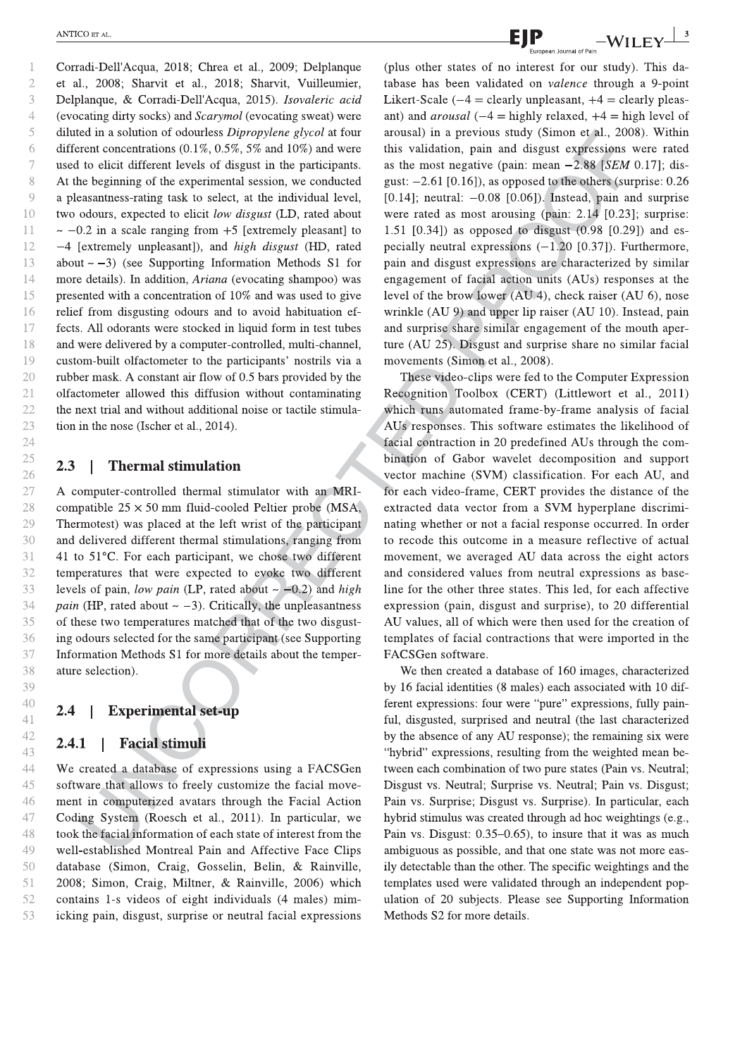Corradi-Dell'Acqua, 2018; Chrea et al., 2009; Delplanque 1  $\overline{2}$ et al., 2008; Sharvit et al., 2018; Sharvit, Vuilleumier, 3 Delplanque, & Corradi-Dell'Acqua, 2015). Isovaleric acid  $\overline{4}$ (evocating dirty socks) and Scarymol (evocating sweat) were 5 diluted in a solution of odourless *Dipropylene glycol* at four 6 different concentrations  $(0.1\%, 0.5\%, 5\%$  and  $10\%)$  and were  $\tau$ used to elicit different levels of disgust in the participants. 8 At the beginning of the experimental session, we conducted  $\overline{Q}$ a pleasantness-rating task to select, at the individual level, 10 two odours, expected to elicit low disgust (LD, rated about  $11$  $\sim -0.2$  in a scale ranging from +5 [extremely pleasant] to 12 -4 [extremely unpleasant]), and *high disgust* (HD, rated 13 about  $\sim -3$ ) (see Supporting Information Methods S1 for 14 more details). In addition, *Ariana* (evocating shampoo) was 15 presented with a concentration of 10% and was used to give 16 relief from disgusting odours and to avoid habituation ef-17 fects. All odorants were stocked in liquid form in test tubes 18 and were delivered by a computer-controlled, multi-channel,  $19$ custom-built olfactometer to the participants' nostrils via a 20 rubber mask. A constant air flow of 0.5 bars provided by the  $21$ olfactometer allowed this diffusion without contaminating 22 the next trial and without additional noise or tactile stimula-23 tion in the nose (Ischer et al., 2014).

#### $2.3$ **Thermal stimulation**

24

25

26

27

28

31

32

33

34

35

37

39

40

 $41$ 

42

43

A computer-controlled thermal stimulator with an MRIcompatible  $25 \times 50$  mm fluid-cooled Peltier probe (MSA, 29 Thermotest) was placed at the left wrist of the participant 30 and delivered different thermal stimulations, ranging from 41 to 51°C. For each participant, we chose two different temperatures that were expected to evoke two different levels of pain, low pain (LP, rated about  $\sim -0.2$ ) and high *pain* (HP, rated about  $\sim -3$ ). Critically, the unpleasantness of these two temperatures matched that of the two disgust-36 ing odours selected for the same participant (see Supporting Information Methods S1 for more details about the temper-38 ature selection).

### $2.4$ **Experimental set-up**

#### 2.4.1 **Facial stimuli**  $\overline{\phantom{a}}$

We created a database of expressions using a FACSGen 44 45 software that allows to freely customize the facial move-46 ment in computerized avatars through the Facial Action 47 Coding System (Roesch et al., 2011). In particular, we  $48$ took the facial information of each state of interest from the 49 well-established Montreal Pain and Affective Face Clips 50 database (Simon, Craig, Gosselin, Belin, & Rainville, 51 2008; Simon, Craig, Miltner, & Rainville, 2006) which 52 contains 1-s videos of eight individuals (4 males) mim-53 icking pain, disgust, surprise or neutral facial expressions (plus other states of no interest for our study). This database has been validated on valence through a 9-point Likert-Scale  $(-4)$  = clearly unpleasant,  $+4$  = clearly pleasant) and *arousal* ( $-4$  = highly relaxed,  $+4$  = high level of arousal) in a previous study (Simon et al., 2008). Within this validation, pain and disgust expressions were rated as the most negative (pain: mean  $-2.88$  [SEM 0.17]; disgust:  $-2.61$  [0.16]), as opposed to the others (surprise: 0.26  $[0.14]$ ; neutral:  $-0.08$   $[0.06]$ ). Instead, pain and surprise were rated as most arousing (pain:  $2.14$  [0.23]; surprise: 1.51  $[0.34]$ ) as opposed to disgust  $(0.98 \; [0.29])$  and especially neutral expressions  $(-1.20 \, [0.37])$ . Furthermore, pain and disgust expressions are characterized by similar engagement of facial action units (AUs) responses at the level of the brow lower (AU 4), check raiser (AU 6), nose wrinkle (AU 9) and upper lip raiser (AU 10). Instead, pain and surprise share similar engagement of the mouth aperture (AU 25). Disgust and surprise share no similar facial movements (Simon et al., 2008).

These video-clips were fed to the Computer Expression Recognition Toolbox (CERT) (Littlewort et al., 2011) which runs automated frame-by-frame analysis of facial AUs responses. This software estimates the likelihood of facial contraction in 20 predefined AUs through the combination of Gabor wavelet decomposition and support vector machine (SVM) classification. For each AU, and for each video-frame, CERT provides the distance of the extracted data vector from a SVM hyperplane discriminating whether or not a facial response occurred. In order to recode this outcome in a measure reflective of actual movement, we averaged AU data across the eight actors and considered values from neutral expressions as baseline for the other three states. This led, for each affective expression (pain, disgust and surprise), to 20 differential AU values, all of which were then used for the creation of templates of facial contractions that were imported in the FACSGen software.

We then created a database of 160 images, characterized by 16 facial identities (8 males) each associated with 10 different expressions: four were "pure" expressions, fully painful, disgusted, surprised and neutral (the last characterized by the absence of any AU response); the remaining six were "hybrid" expressions, resulting from the weighted mean between each combination of two pure states (Pain vs. Neutral; Disgust vs. Neutral; Surprise vs. Neutral; Pain vs. Disgust; Pain vs. Surprise; Disgust vs. Surprise). In particular, each hybrid stimulus was created through ad hoc weightings (e.g., Pain vs. Disgust:  $0.35-0.65$ ), to insure that it was as much ambiguous as possible, and that one state was not more easily detectable than the other. The specific weightings and the templates used were validated through an independent population of 20 subjects. Please see Supporting Information Methods S2 for more details.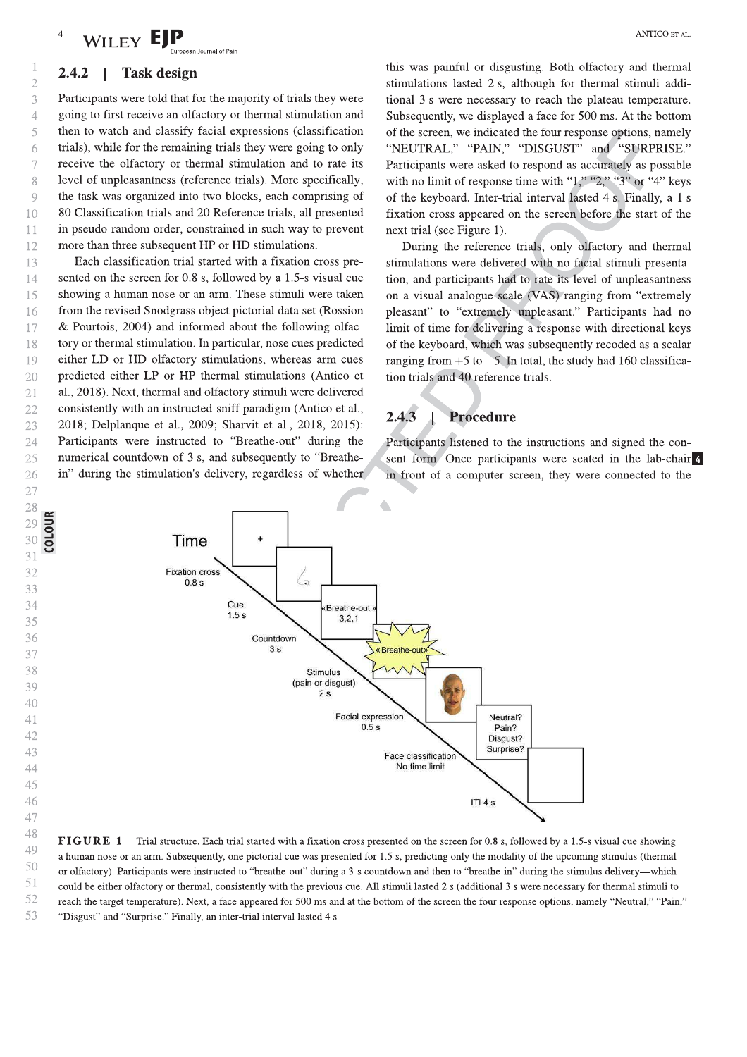#### 2.4.2  $\blacksquare$ **Task design**

Participants were told that for the majority of trials they were going to first receive an olfactory or thermal stimulation and then to watch and classify facial expressions (classification trials), while for the remaining trials they were going to only receive the olfactory or thermal stimulation and to rate its level of unpleasantness (reference trials). More specifically, the task was organized into two blocks, each comprising of 80 Classification trials and 20 Reference trials, all presented in pseudo-random order, constrained in such way to prevent more than three subsequent HP or HD stimulations.

Journal of Pain

Each classification trial started with a fixation cross presented on the screen for 0.8 s, followed by a 1.5-s visual cue showing a human nose or an arm. These stimuli were taken from the revised Snodgrass object pictorial data set (Rossion & Pourtois, 2004) and informed about the following olfactory or thermal stimulation. In particular, nose cues predicted either LD or HD olfactory stimulations, whereas arm cues predicted either LP or HP thermal stimulations (Antico et al., 2018). Next, thermal and olfactory stimuli were delivered consistently with an instructed-sniff paradigm (Antico et al., 2018; Delplanque et al., 2009; Sharvit et al., 2018, 2015): Participants were instructed to "Breathe-out" during the numerical countdown of 3 s, and subsequently to "Breathein" during the stimulation's delivery, regardless of whether this was painful or disgusting. Both olfactory and thermal stimulations lasted 2 s, although for thermal stimuli additional 3 s were necessary to reach the plateau temperature. Subsequently, we displayed a face for 500 ms. At the bottom of the screen, we indicated the four response options, namely "NEUTRAL," "PAIN," "DISGUST" and "SURPRISE." Participants were asked to respond as accurately as possible with no limit of response time with " $1$ ," " $2$ ," " $3$ " or " $4$ " keys of the keyboard. Inter-trial interval lasted 4 s. Finally, a 1 s fixation cross appeared on the screen before the start of the next trial (see Figure 1).

During the reference trials, only olfactory and thermal stimulations were delivered with no facial stimuli presentation, and participants had to rate its level of unpleasantness on a visual analogue scale (VAS) ranging from "extremely pleasant" to "extremely unpleasant." Participants had no limit of time for delivering a response with directional keys of the keyboard, which was subsequently recoded as a scalar ranging from  $+5$  to  $-5$ . In total, the study had 160 classification trials and 40 reference trials.

## 2.4.3 Procedure

Participants listened to the instructions and signed the consent form. Once participants were seated in the lab-chair 4 in front of a computer screen, they were connected to the



**FIGURE 1** Trial structure. Each trial started with a fixation cross presented on the screen for 0.8 s, followed by a 1.5-s visual cue showing a human nose or an arm. Subsequently, one pictorial cue was presented for 1.5 s, predicting only the modality of the upcoming stimulus (thermal or olfactory). Participants were instructed to "breathe-out" during a 3-s countdown and then to "breathe-in" during the stimulus delivery-which could be either olfactory or thermal, consistently with the previous cue. All stimuli lasted 2 s (additional 3 s were necessary for thermal stimuli to reach the target temperature). Next, a face appeared for 500 ms and at the bottom of the screen the four response options, namely "Neutral," "Pain," 53 "Disgust" and "Surprise." Finally, an inter-trial interval lasted 4 s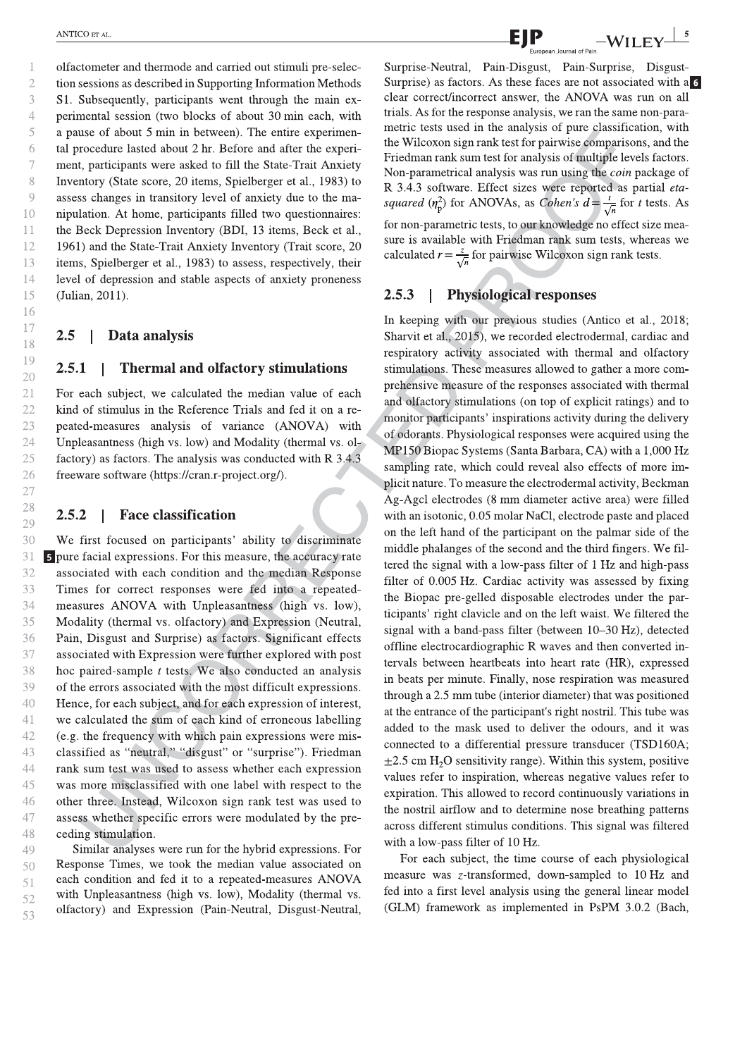1  $\overline{2}$ 

3

 $\overline{4}$ 

5

6

7

8

 $\overline{Q}$ 

10

 $11$ 

12

13

14

15

16

17

18

19

20

 $21$ 

22

23

24

25

26

27

28

29

olfactometer and thermode and carried out stimuli pre-selection sessions as described in Supporting Information Methods S1. Subsequently, participants went through the main experimental session (two blocks of about 30 min each, with a pause of about 5 min in between). The entire experimental procedure lasted about 2 hr. Before and after the experiment, participants were asked to fill the State-Trait Anxiety Inventory (State score, 20 items, Spielberger et al., 1983) to assess changes in transitory level of anxiety due to the manipulation. At home, participants filled two questionnaires: the Beck Depression Inventory (BDI, 13 items, Beck et al., 1961) and the State-Trait Anxiety Inventory (Trait score, 20 items, Spielberger et al., 1983) to assess, respectively, their level of depression and stable aspects of anxiety proneness (Julian, 2011).

#### $2.5$ Data analysis

#### $2.5.1$ **Thermal and olfactory stimulations**

For each subject, we calculated the median value of each kind of stimulus in the Reference Trials and fed it on a repeated-measures analysis of variance (ANOVA) with Unpleasantness (high vs. low) and Modality (thermal vs. olfactory) as factors. The analysis was conducted with R 3.4.3 freeware software (https://cran.r-project.org/).

#### **Face classification** 2.5.2

30 We first focused on participants' ability to discriminate **5** pure facial expressions. For this measure, the accuracy rate 31 32 associated with each condition and the median Response 33 Times for correct responses were fed into a repeated-34 measures ANOVA with Unpleasantness (high vs. low), 35 Modality (thermal vs. olfactory) and Expression (Neutral, 36 Pain, Disgust and Surprise) as factors. Significant effects 37 associated with Expression were further explored with post hoc paired-sample  $t$  tests. We also conducted an analysis 38 39 of the errors associated with the most difficult expressions. 40 Hence, for each subject, and for each expression of interest,  $41$ we calculated the sum of each kind of erroneous labelling 42 (e.g. the frequency with which pain expressions were mis- $43$ classified as "neutral," "disgust" or "surprise"). Friedman 44 rank sum test was used to assess whether each expression 45 was more misclassified with one label with respect to the 46 other three. Instead, Wilcoxon sign rank test was used to assess whether specific errors were modulated by the pre-47 ceding stimulation. 48

Similar analyses were run for the hybrid expressions. For 49 Response Times, we took the median value associated on 50 each condition and fed it to a repeated-measures ANOVA 51 with Unpleasantness (high vs. low), Modality (thermal vs. 52 olfactory) and Expression (Pain-Neutral, Disgust-Neutral, 53

# ean Journal of Pain  $-WILEY \stackrel{1}{\longrightarrow}$

Surprise-Neutral, Pain-Disgust, Pain-Surprise, Disgust-Surprise) as factors. As these faces are not associated with a 6 clear correct/incorrect answer, the ANOVA was run on all trials. As for the response analysis, we ran the same non-parametric tests used in the analysis of pure classification, with the Wilcoxon sign rank test for pairwise comparisons, and the Friedman rank sum test for analysis of multiple levels factors. Non-parametrical analysis was run using the *coin* package of R 3.4.3 software. Effect sizes were reported as partial eta*squared*  $(n_p^2)$  for ANOVAs, as *Cohen's*  $d = \frac{t}{\sqrt{n}}$  for *t* tests. As for non-parametric tests, to our knowledge no effect size measure is available with Friedman rank sum tests, whereas we calculated  $r = \frac{z}{\sqrt{n}}$  for pairwise Wilcoxon sign rank tests.

#### 2.5.3 **Physiological responses**  $\overline{\phantom{a}}$

In keeping with our previous studies (Antico et al., 2018; Sharvit et al., 2015), we recorded electrodermal, cardiac and respiratory activity associated with thermal and olfactory stimulations. These measures allowed to gather a more comprehensive measure of the responses associated with thermal and olfactory stimulations (on top of explicit ratings) and to monitor participants' inspirations activity during the delivery of odorants. Physiological responses were acquired using the MP150 Biopac Systems (Santa Barbara, CA) with a 1,000 Hz sampling rate, which could reveal also effects of more implicit nature. To measure the electrodermal activity, Beckman Ag-Agcl electrodes (8 mm diameter active area) were filled with an isotonic, 0.05 molar NaCl, electrode paste and placed on the left hand of the participant on the palmar side of the middle phalanges of the second and the third fingers. We filtered the signal with a low-pass filter of 1 Hz and high-pass filter of 0.005 Hz. Cardiac activity was assessed by fixing the Biopac pre-gelled disposable electrodes under the participants' right clavicle and on the left waist. We filtered the signal with a band-pass filter (between 10–30 Hz), detected offline electrocardiographic R waves and then converted intervals between heartbeats into heart rate (HR), expressed in beats per minute. Finally, nose respiration was measured through a 2.5 mm tube (interior diameter) that was positioned at the entrance of the participant's right nostril. This tube was added to the mask used to deliver the odours, and it was connected to a differential pressure transducer (TSD160A;  $\pm$ 2.5 cm H<sub>2</sub>O sensitivity range). Within this system, positive values refer to inspiration, whereas negative values refer to expiration. This allowed to record continuously variations in the nostril airflow and to determine nose breathing patterns across different stimulus conditions. This signal was filtered with a low-pass filter of 10 Hz.

For each subject, the time course of each physiological measure was z-transformed, down-sampled to 10 Hz and fed into a first level analysis using the general linear model (GLM) framework as implemented in PsPM 3.0.2 (Bach,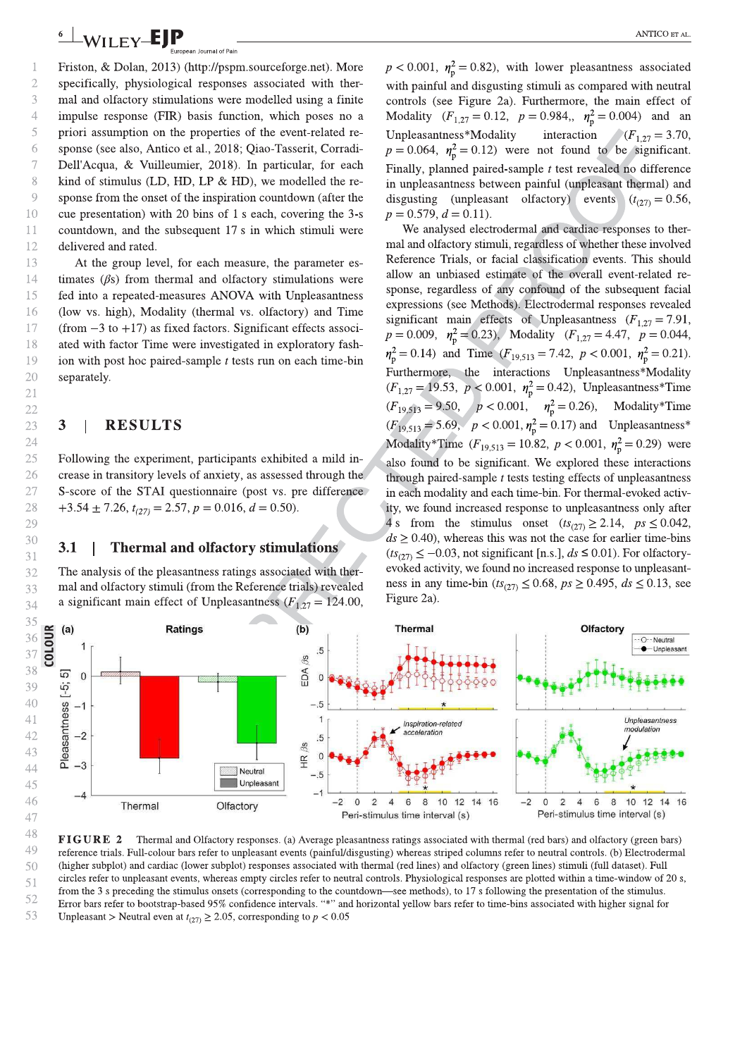# <u>LWILEY-EJP</u> n Journal of Pain

Friston, & Dolan, 2013) (http://pspm.sourceforge.net). More specifically, physiological responses associated with thermal and olfactory stimulations were modelled using a finite impulse response (FIR) basis function, which poses no a priori assumption on the properties of the event-related response (see also, Antico et al., 2018; Qiao-Tasserit, Corradi-Dell'Acqua, & Vuilleumier, 2018). In particular, for each kind of stimulus (LD, HD, LP  $\&$  HD), we modelled the response from the onset of the inspiration countdown (after the cue presentation) with 20 bins of 1 s each, covering the 3-s countdown, and the subsequent 17 s in which stimuli were delivered and rated.

At the group level, for each measure, the parameter estimates  $(\beta s)$  from thermal and olfactory stimulations were fed into a repeated-measures ANOVA with Unpleasantness (low vs. high), Modality (thermal vs. olfactory) and Time (from  $-3$  to  $+17$ ) as fixed factors. Significant effects associated with factor Time were investigated in exploratory fashion with post hoc paired-sample  $t$  tests run on each time-bin separately.

### 3 **RESULTS**

Following the experiment, participants exhibited a mild increase in transitory levels of anxiety, as assessed through the S-score of the STAI questionnaire (post vs. pre difference) +3.54 ± 7.26,  $t_{(27)} = 2.57$ ,  $p = 0.016$ ,  $d = 0.50$ ).

### $3.1$ **Thermal and olfactory stimulations**

The analysis of the pleasantness ratings associated with thermal and olfactory stimuli (from the Reference trials) revealed a significant main effect of Unpleasantness ( $F_{127} = 124.00$ ),

 $p < 0.001$ ,  $\eta_p^2 = 0.82$ ), with lower pleasantness associated with painful and disgusting stimuli as compared with neutral controls (see Figure 2a). Furthermore, the main effect of Modality  $(F_{1,27} = 0.12, p = 0.984, \eta_p^2 = 0.004)$  and an Unpleasantness\*Modality interaction  $(F_{1,27} = 3.70,$  $p = 0.064$ ,  $\eta_p^2 = 0.12$ ) were not found to be significant. Finally, planned paired-sample t test revealed no difference in unpleasantness between painful (unpleasant thermal) and disgusting (unpleasant olfactory) events  $(t_{(27)} = 0.56,$  $p = 0.579, d = 0.11$ .

We analysed electrodermal and cardiac responses to thermal and olfactory stimuli, regardless of whether these involved Reference Trials, or facial classification events. This should allow an unbiased estimate of the overall event-related response, regardless of any confound of the subsequent facial expressions (see Methods). Electrodermal responses revealed significant main effects of Unpleasantness  $(F_{1,27} = 7.91,$  $p = 0.009$ ,  $\eta_p^2 = 0.23$ ), Modality ( $F_{1,27} = 4.47$ ,  $p = 0.044$ ,  $\eta_p^2 = 0.14$ ) and Time  $(F_{19,513} = 7.42, p < 0.001, \eta_p^2 = 0.21)$ . Furthermore, the interactions Unpleasantness\*Modality  $(F_{1,27} = 19.53, p < 0.001, \eta_p^2 = 0.42)$ , Unpleasantness\*Time  $(F_{19,513} = 9.50, p < 0.001, \eta_p^2 = 0.26)$ , Modality\*Time  $(F_{19,513} = 5.69, p < 0.001, \eta_p^2 = 0.17)$  and Unpleasantness\* Modality\*Time  $(F_{19,513} = 10.82, p < 0.001, \eta_{p}^{2} = 0.29)$  were also found to be significant. We explored these interactions through paired-sample  $t$  tests testing effects of unpleasantness in each modality and each time-bin. For thermal-evoked activity, we found increased response to unpleasantness only after 4 s from the stimulus onset  $(ts_{(27)} \ge 2.14, ps \le 0.042,$  $ds \geq 0.40$ , whereas this was not the case for earlier time-bins  $(ts_{(27)} \le -0.03$ , not significant [n.s.],  $ds \le 0.01$ ). For olfactoryevoked activity, we found no increased response to unpleasantness in any time-bin  $(ts_{(27)} \le 0.68, ps \ge 0.495, ds \le 0.13$ , see Figure 2a).



FIGURE 2 Thermal and Olfactory responses. (a) Average pleasantness ratings associated with thermal (red bars) and olfactory (green bars) reference trials. Full-colour bars refer to unpleasant events (painful/disgusting) whereas striped columns refer to neutral controls. (b) Electrodermal (higher subplot) and cardiac (lower subplot) responses associated with thermal (red lines) and olfactory (green lines) stimuli (full dataset). Full circles refer to unpleasant events, whereas empty circles refer to neutral controls. Physiological responses are plotted within a time-window of 20 s, from the 3 s preceding the stimulus onsets (corresponding to the countdown—see methods), to 17 s following the presentation of the stimulus. Error bars refer to bootstrap-based 95% confidence intervals. "\*" and horizontal yellow bars refer to time-bins associated with higher signal for Unpleasant > Neutral even at  $t_{(27)} \ge 2.05$ , corresponding to  $p < 0.05$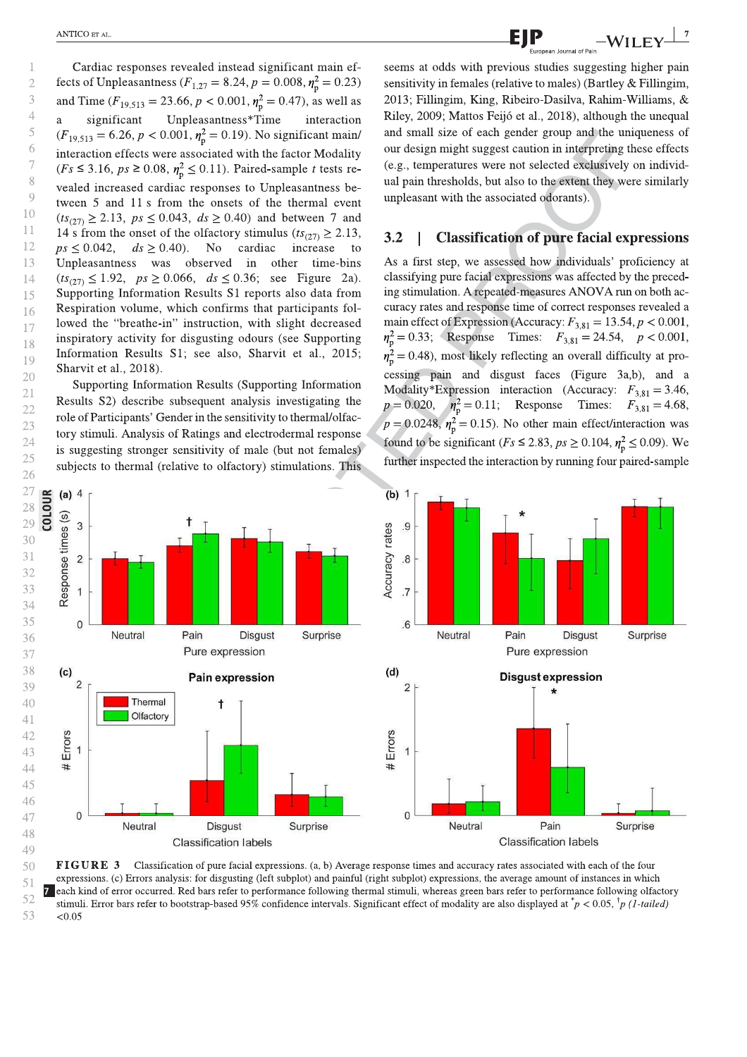Cardiac responses revealed instead significant main effects of Unpleasantness ( $F_{1,27} = 8.24$ ,  $p = 0.008$ ,  $\eta_p^2 = 0.23$ ) and Time ( $F_{19,513} = 23.66$ ,  $p < 0.001$ ,  $\eta_p^2 = 0.47$ ), as well as significant Unpleasantness\*Time a interaction  $(F_{19,513} = 6.26, p < 0.001, \eta_p^2 = 0.19)$ . No significant main/ interaction effects were associated with the factor Modality  $(Fs \le 3.16, ps \ge 0.08, \eta_p^2 \le 0.11)$ . Paired-sample t tests revealed increased cardiac responses to Unpleasantness between 5 and 11 s from the onsets of the thermal event  $(ts_{(27)} \ge 2.13, \; ps \le 0.043, \; ds \ge 0.40)$  and between 7 and 14 s from the onset of the olfactory stimulus  $(ts_{(27)} \ge 2.13)$ ,  $ps \le 0.042$ ,  $ds \ge 0.40$ ). N<sub>o</sub> cardiac increase to Unpleasantness was observed in other time-bins  $(ts_{(27)} \le 1.92, \ \ \text{ps} \ge 0.066, \ \ \text{ds} \le 0.36; \ \ \text{see} \ \ \text{Figure} \ \ 2a).$ Supporting Information Results S1 reports also data from Respiration volume, which confirms that participants followed the "breathe-in" instruction, with slight decreased inspiratory activity for disgusting odours (see Supporting Information Results S1; see also, Sharvit et al., 2015; Sharvit et al., 2018).

Supporting Information Results (Supporting Information Results S2) describe subsequent analysis investigating the role of Participants' Gender in the sensitivity to thermal/olfactory stimuli. Analysis of Ratings and electrodermal response is suggesting stronger sensitivity of male (but not females) subjects to thermal (relative to olfactory) stimulations. This



# seems at odds with previous studies suggesting higher pain

sensitivity in females (relative to males) (Bartley & Fillingim, 2013; Fillingim, King, Ribeiro-Dasilva, Rahim-Williams, & Riley, 2009; Mattos Feijó et al., 2018), although the unequal and small size of each gender group and the uniqueness of our design might suggest caution in interpreting these effects (e.g., temperatures were not selected exclusively on individual pain thresholds, but also to the extent they were similarly unpleasant with the associated odorants).

#### $3.2$ **Classification of pure facial expressions**

As a first step, we assessed how individuals' proficiency at classifying pure facial expressions was affected by the preceding stimulation. A repeated-measures ANOVA run on both accuracy rates and response time of correct responses revealed a main effect of Expression (Accuracy:  $F_{3,81} = 13.54$ ,  $p < 0.001$ ,  $n_p^2 = 0.33$ ; Response Times:  $F_{3,81} = 24.54$ ,  $p < 0.001$ ,  $\eta_{\rm n}^2$  = 0.48), most likely reflecting an overall difficulty at processing pain and disgust faces (Figure 3a,b), and a Modality\*Expression interaction (Accuracy:  $F_{3,81} = 3.46$ ,  $p = 0.020$ ,  $n_p^2 = 0.11$ ; Response Times:  $F_{3,81} = 4.68$ ,  $p = 0.0248$ ,  $\eta_p^2 = 0.15$ ). No other main effect/interaction was found to be significant (*Fs* ≤ 2.83, *ps* ≥ 0.104,  $n_{p}^{2}$  ≤ 0.09). We further inspected the interaction by running four paired-sample





FIGURE 3 Classification of pure facial expressions. (a, b) Average response times and accuracy rates associated with each of the four expressions. (c) Errors analysis: for disgusting (left subplot) and painful (right subplot) expressions, the average amount of instances in which each kind of error occurred. Red bars refer to performance following thermal stimuli, whereas green bars refer to performance following olfactory 52 stimuli. Error bars refer to bootstrap-based 95% confidence intervals. Significant effect of modality are also displayed at  $\hat{p}$  < 0.05,  $\hat{p}$  (1-tailed) 53  $<0.05$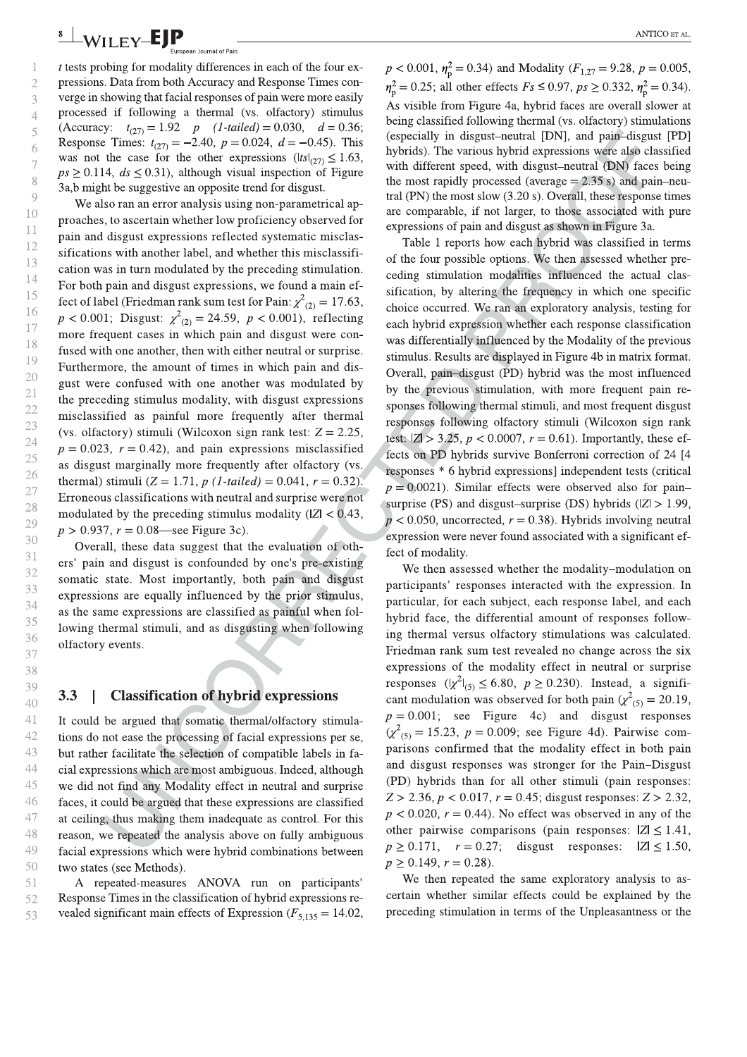# 8 WILEY-EJP an Journal of Pain

*t* tests probing for modality differences in each of the four expressions. Data from both Accuracy and Response Times converge in showing that facial responses of pain were more easily processed if following a thermal (vs. olfactory) stimulus (Accuracy:  $t_{(27)} = 1.92$  p (1-tailed) = 0.030, d = 0.36; Response Times:  $t_{(27)} = -2.40$ ,  $p = 0.024$ ,  $d = -0.45$ ). This was not the case for the other expressions  $(|ts|_{(27)} \le 1.63$ ,  $ps \ge 0.114$ ,  $ds \le 0.31$ ), although visual inspection of Figure 3a,b might be suggestive an opposite trend for disgust.

We also ran an error analysis using non-parametrical approaches, to ascertain whether low proficiency observed for pain and disgust expressions reflected systematic misclassifications with another label, and whether this misclassification was in turn modulated by the preceding stimulation. For both pain and disgust expressions, we found a main effect of label (Friedman rank sum test for Pain:  $\chi^2_{(2)} = 17.63$ ,  $p < 0.001$ ; Disgust:  $\chi^2_{(2)} = 24.59$ ,  $p < 0.001$ ), reflecting more frequent cases in which pain and disgust were confused with one another, then with either neutral or surprise. Furthermore, the amount of times in which pain and disgust were confused with one another was modulated by the preceding stimulus modality, with disgust expressions misclassified as painful more frequently after thermal (vs. olfactory) stimuli (Wilcoxon sign rank test:  $Z = 2.25$ ,  $p = 0.023$ ,  $r = 0.42$ ), and pain expressions misclassified as disgust marginally more frequently after olfactory (vs. thermal) stimuli (Z = 1.71, p (1-tailed) = 0.041,  $r = 0.32$ ). Erroneous classifications with neutral and surprise were not modulated by the preceding stimulus modality ( $|Z| < 0.43$ ).  $p > 0.937$ ,  $r = 0.08$ —see Figure 3c).

Overall, these data suggest that the evaluation of others' pain and disgust is confounded by one's pre-existing somatic state. Most importantly, both pain and disgust expressions are equally influenced by the prior stimulus, as the same expressions are classified as painful when following thermal stimuli, and as disgusting when following olfactory events.

### **Classification of hybrid expressions**  $3.3$

It could be argued that somatic thermal/olfactory stimulations do not ease the processing of facial expressions per se, but rather facilitate the selection of compatible labels in facial expressions which are most ambiguous. Indeed, although we did not find any Modality effect in neutral and surprise faces, it could be argued that these expressions are classified at ceiling, thus making them inadequate as control. For this reason, we repeated the analysis above on fully ambiguous facial expressions which were hybrid combinations between two states (see Methods).

A repeated-measures ANOVA run on participants' Response Times in the classification of hybrid expressions revealed significant main effects of Expression ( $F_{5,135} = 14.02$ ),  $p < 0.001$ ,  $\eta_p^2 = 0.34$ ) and Modality ( $F_{1,27} = 9.28$ ,  $p = 0.005$ ,  $\eta_p^2 = 0.25$ ; all other effects  $Fs \le 0.97$ ,  $ps \ge 0.332$ ,  $\eta_n^2 = 0.34$ ). As visible from Figure 4a, hybrid faces are overall slower at being classified following thermal (vs. olfactory) stimulations (especially in disgust–neutral [DN], and pain–disgust [PD] hybrids). The various hybrid expressions were also classified with different speed, with disgust-neutral (DN) faces being the most rapidly processed (average  $= 2.35$  s) and pain-neutral (PN) the most slow  $(3.20 \text{ s})$ . Overall, these response times are comparable, if not larger, to those associated with pure expressions of pain and disgust as shown in Figure 3a.

Table 1 reports how each hybrid was classified in terms of the four possible options. We then assessed whether preceding stimulation modalities influenced the actual classification, by altering the frequency in which one specific choice occurred. We ran an exploratory analysis, testing for each hybrid expression whether each response classification was differentially influenced by the Modality of the previous stimulus. Results are displayed in Figure 4b in matrix format. Overall, pain-disgust (PD) hybrid was the most influenced by the previous stimulation, with more frequent pain responses following thermal stimuli, and most frequent disgust responses following olfactory stimuli (Wilcoxon sign rank test:  $|Z| > 3.25$ ,  $p < 0.0007$ ,  $r = 0.61$ ). Importantly, these effects on PD hybrids survive Bonferroni correction of 24 [4] responses \* 6 hybrid expressions] independent tests (critical  $p = 0.0021$ ). Similar effects were observed also for pain- $\triangle$ surprise (PS) and disgust–surprise (DS) hybrids ( $|Z| > 1.99$ .  $p < 0.050$ , uncorrected,  $r = 0.38$ ). Hybrids involving neutral expression were never found associated with a significant effect of modality.

We then assessed whether the modality-modulation on participants' responses interacted with the expression. In particular, for each subject, each response label, and each hybrid face, the differential amount of responses following thermal versus olfactory stimulations was calculated. Friedman rank sum test revealed no change across the six expressions of the modality effect in neutral or surprise responses  $(|\chi^2|_{(5)} \le 6.80, p \ge 0.230)$ . Instead, a significant modulation was observed for both pain  $(\chi^2_{(5)} = 20.19,$  $p = 0.001$ ; see Figure 4c) and disgust responses  $(\chi^2_{(5)} = 15.23, p = 0.009)$ ; see Figure 4d). Pairwise comparisons confirmed that the modality effect in both pain and disgust responses was stronger for the Pain-Disgust (PD) hybrids than for all other stimuli (pain responses:  $Z > 2.36$ ,  $p < 0.017$ ,  $r = 0.45$ ; disgust responses:  $Z > 2.32$ ,  $p < 0.020$ ,  $r = 0.44$ ). No effect was observed in any of the other pairwise comparisons (pain responses:  $|Z| \le 1.41$ ,  $p \ge 0.171$ ,  $r = 0.27$ ; disgust responses:  $|Z| \le 1.50$ ,  $p \ge 0.149$ ,  $r = 0.28$ ).

We then repeated the same exploratory analysis to ascertain whether similar effects could be explained by the preceding stimulation in terms of the Unpleasantness or the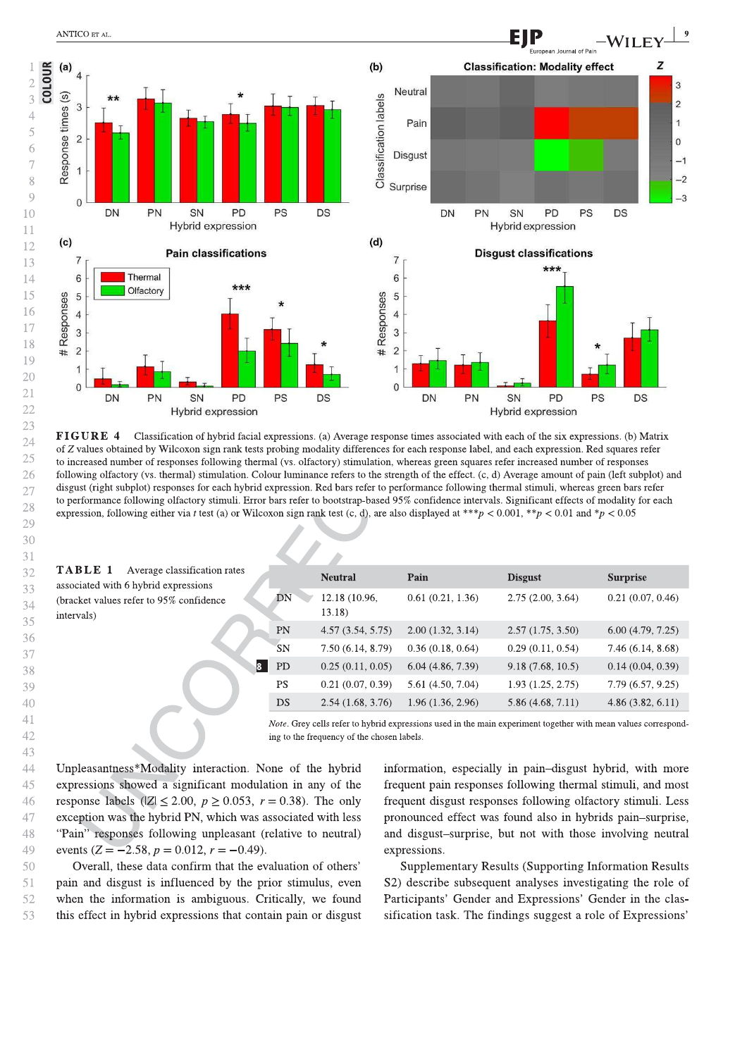

**FIGURE 4** Classification of hybrid facial expressions. (a) Average response times associated with each of the six expressions. (b) Matrix of Z values obtained by Wilcoxon sign rank tests probing modality differences for each response label, and each expression. Red squares refer to increased number of responses following thermal (vs. olfactory) stimulation, whereas green squares refer increased number of responses following olfactory (vs. thermal) stimulation. Colour luminance refers to the strength of the effect. (c, d) Average amount of pain (left subplot) and disgust (right subplot) responses for each hybrid expression. Red bars refer to performance following thermal stimuli, whereas green bars refer to performance following olfactory stimuli. Error bars refer to bootstrap-based 95% confidence intervals. Significant effects of modality for each expression, following either via t test (a) or Wilcoxon sign rank test (c, d), are also displayed at \*\*\*  $p < 0.001$ , \*\*  $p < 0.01$  and \* $p < 0.05$ 

| TABLE 1<br>Average classification rates<br>associated with 6 hybrid expressions |                 | <b>Neutral</b>          | Pain              | <b>Disgust</b>                                                                                                  | <b>Surprise</b>  |  |
|---------------------------------------------------------------------------------|-----------------|-------------------------|-------------------|-----------------------------------------------------------------------------------------------------------------|------------------|--|
| (bracket values refer to 95% confidence)<br>intervals)                          | DN              | 12.18 (10.96,<br>13.18) | 0.61(0.21, 1.36)  | 2.75(2.00, 3.64)                                                                                                | 0.21(0.07, 0.46) |  |
|                                                                                 | <b>PN</b>       | 4.57(3.54, 5.75)        | 2.00(1.32, 3.14)  | 2.57(1.75, 3.50)                                                                                                | 6.00(4.79, 7.25) |  |
|                                                                                 | <b>SN</b>       | 7.50(6.14, 8.79)        | 0.36(0.18, 0.64)  | 0.29(0.11, 0.54)                                                                                                | 7.46(6.14, 8.68) |  |
|                                                                                 | 8.<br><b>PD</b> | 0.25(0.11, 0.05)        | 6.04(4.86, 7.39)  | 9.18(7.68, 10.5)                                                                                                | 0.14(0.04, 0.39) |  |
|                                                                                 | <b>PS</b>       | 0.21(0.07, 0.39)        | 5.61 (4.50, 7.04) | 1.93(1.25, 2.75)                                                                                                | 7.79(6.57, 9.25) |  |
|                                                                                 | DS              | 2.54(1.68, 3.76)        | 1.96(1.36, 2.96)  | 5.86(4.68, 7.11)                                                                                                | 4.86(3.82, 6.11) |  |
|                                                                                 |                 |                         |                   | M a Concert of the Protection of the concerted of the firm of the concerted and the control of the concerted of |                  |  |

Note. Grey cells refer to hybrid expressions used in the main experiment together with mean values corresponding to the frequency of the chosen labels.

Unpleasantness\*Modality interaction. None of the hybrid 44 45 expressions showed a significant modulation in any of the 46 response labels ( $|Z| \le 2.00$ ,  $p \ge 0.053$ ,  $r = 0.38$ ). The only exception was the hybrid PN, which was associated with less 47 "Pain" responses following unpleasant (relative to neutral) 48 events ( $Z = -2.58$ ,  $p = 0.012$ ,  $r = -0.49$ ). 49

24

25

26

 $27$ 

28

29 30

42

43

50 Overall, these data confirm that the evaluation of others' 51 pain and disgust is influenced by the prior stimulus, even 52 when the information is ambiguous. Critically, we found 53 this effect in hybrid expressions that contain pain or disgust information, especially in pain-disgust hybrid, with more frequent pain responses following thermal stimuli, and most frequent disgust responses following olfactory stimuli. Less pronounced effect was found also in hybrids pain-surprise, and disgust-surprise, but not with those involving neutral expressions.

Supplementary Results (Supporting Information Results S2) describe subsequent analyses investigating the role of Participants' Gender and Expressions' Gender in the classification task. The findings suggest a role of Expressions'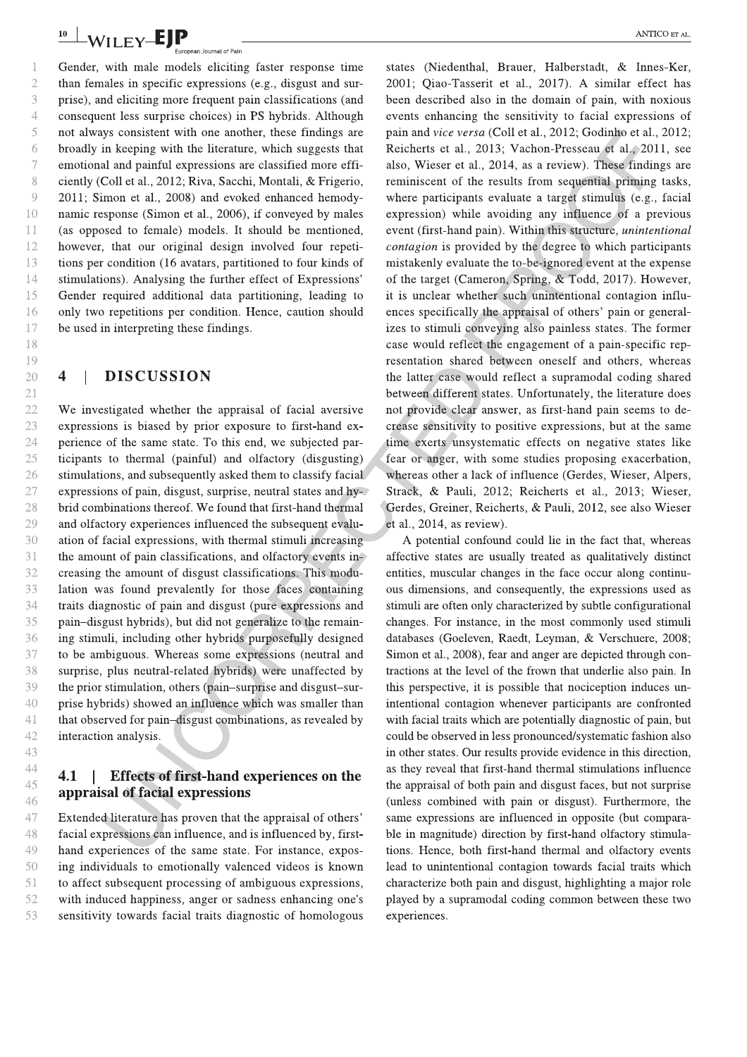# <sup>10</sup> WILEY-EJP an Journal of Pain

 $\mathbf{1}$  $\overline{2}$ 

3  $\overline{4}$ 

5

6

 $\overline{7}$ 

8

 $\circ$ 

10

 $11$ 

12

13

14

15

16 17

18

19

20

 $21$ 

43

Gender, with male models eliciting faster response time than females in specific expressions (e.g., disgust and surprise), and eliciting more frequent pain classifications (and consequent less surprise choices) in PS hybrids. Although not always consistent with one another, these findings are broadly in keeping with the literature, which suggests that emotional and painful expressions are classified more efficiently (Coll et al., 2012; Riva, Sacchi, Montali, & Frigerio, 2011; Simon et al., 2008) and evoked enhanced hemodynamic response (Simon et al., 2006), if conveyed by males (as opposed to female) models. It should be mentioned, however, that our original design involved four repetitions per condition (16 avatars, partitioned to four kinds of stimulations). Analysing the further effect of Expressions' Gender required additional data partitioning, leading to only two repetitions per condition. Hence, caution should be used in interpreting these findings.

### $\overline{\mathbf{4}}$ **DISCUSSION**

22 We investigated whether the appraisal of facial aversive 23 expressions is biased by prior exposure to first-hand ex-24 perience of the same state. To this end, we subjected par-25 ticipants to thermal (painful) and olfactory (disgusting) 26 stimulations, and subsequently asked them to classify facial 27 expressions of pain, disgust, surprise, neutral states and hy-28 brid combinations thereof. We found that first-hand thermal 29 and olfactory experiences influenced the subsequent evalu-30 ation of facial expressions, with thermal stimuli increasing 31 the amount of pain classifications, and olfactory events in-32 creasing the amount of disgust classifications. This modu-33 lation was found prevalently for those faces containing 34 traits diagnostic of pain and disgust (pure expressions and 35 pain-disgust hybrids), but did not generalize to the remain-36 ing stimuli, including other hybrids purposefully designed 37 to be ambiguous. Whereas some expressions (neutral and 38 surprise, plus neutral-related hybrids) were unaffected by 39 the prior stimulation, others (pain–surprise and disgust–sur-40 prise hybrids) showed an influence which was smaller than  $41$ that observed for pain-disgust combinations, as revealed by 42 interaction analysis.

#### 44 Effects of first-hand experiences on the 4.1 45 appraisal of facial expressions 46

Extended literature has proven that the appraisal of others' 47  $48$ facial expressions can influence, and is influenced by, first-49 hand experiences of the same state. For instance, expos-50 ing individuals to emotionally valenced videos is known 51 to affect subsequent processing of ambiguous expressions, 52 with induced happiness, anger or sadness enhancing one's 53 sensitivity towards facial traits diagnostic of homologous states (Niedenthal, Brauer, Halberstadt, & Innes-Ker, 2001; Qiao-Tasserit et al., 2017). A similar effect has been described also in the domain of pain, with noxious events enhancing the sensitivity to facial expressions of pain and vice versa (Coll et al., 2012; Godinho et al., 2012; Reicherts et al., 2013; Vachon-Presseau et al., 2011, see also, Wieser et al., 2014, as a review). These findings are reminiscent of the results from sequential priming tasks, where participants evaluate a target stimulus (e.g., facial expression) while avoiding any influence of a previous event (first-hand pain). Within this structure, *unintentional contagion* is provided by the degree to which participants mistakenly evaluate the to-be-ignored event at the expense of the target (Cameron, Spring, & Todd, 2017). However, it is unclear whether such unintentional contagion influences specifically the appraisal of others' pain or generalizes to stimuli conveying also painless states. The former case would reflect the engagement of a pain-specific representation shared between oneself and others, whereas the latter case would reflect a supramodal coding shared between different states. Unfortunately, the literature does not provide clear answer, as first-hand pain seems to decrease sensitivity to positive expressions, but at the same time exerts unsystematic effects on negative states like fear or anger, with some studies proposing exacerbation, whereas other a lack of influence (Gerdes, Wieser, Alpers, Strack, & Pauli, 2012; Reicherts et al., 2013; Wieser, Gerdes, Greiner, Reicherts, & Pauli, 2012, see also Wieser  $et$  al., 2014, as review).

A potential confound could lie in the fact that, whereas affective states are usually treated as qualitatively distinct entities, muscular changes in the face occur along continuous dimensions, and consequently, the expressions used as stimuli are often only characterized by subtle configurational changes. For instance, in the most commonly used stimuli databases (Goeleven, Raedt, Leyman, & Verschuere, 2008; Simon et al., 2008), fear and anger are depicted through contractions at the level of the frown that underlie also pain. In this perspective, it is possible that nociception induces unintentional contagion whenever participants are confronted with facial traits which are potentially diagnostic of pain, but could be observed in less pronounced/systematic fashion also in other states. Our results provide evidence in this direction, as they reveal that first-hand thermal stimulations influence the appraisal of both pain and disgust faces, but not surprise (unless combined with pain or disgust). Furthermore, the same expressions are influenced in opposite (but comparable in magnitude) direction by first-hand olfactory stimulations. Hence, both first-hand thermal and olfactory events lead to unintentional contagion towards facial traits which characterize both pain and disgust, highlighting a major role played by a supramodal coding common between these two experiences.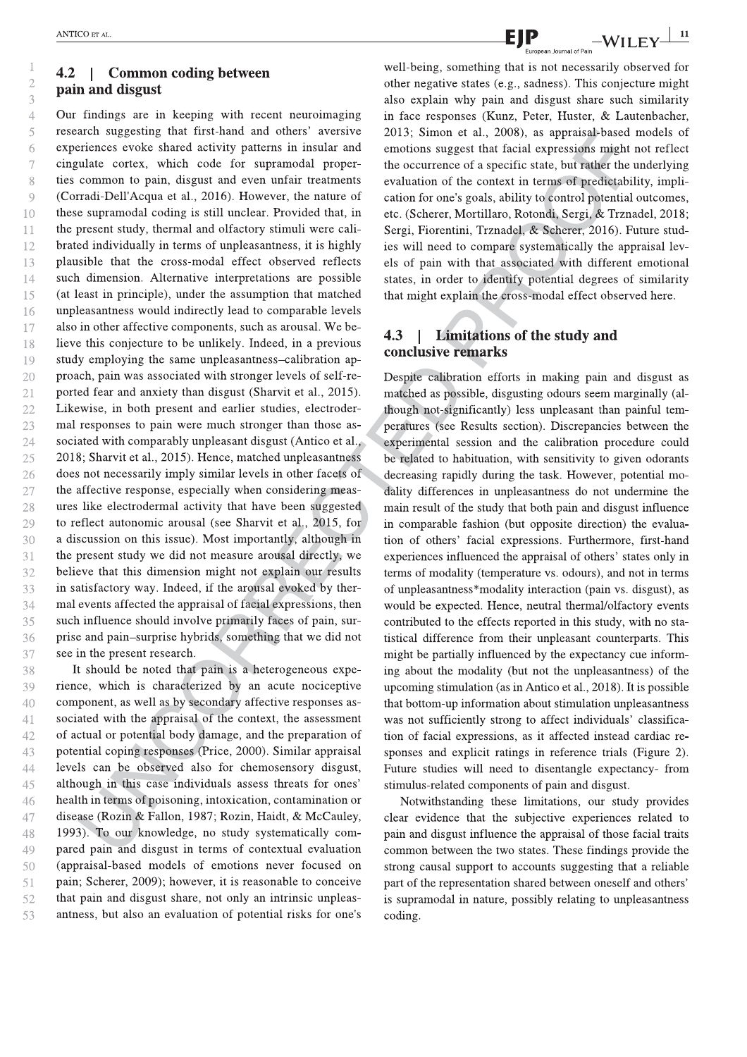$\overline{2}$ 

3

## $4.2 \quad \square$ **Common coding between** pain and disgust

 $\overline{4}$ Our findings are in keeping with recent neuroimaging 5 research suggesting that first-hand and others' aversive experiences evoke shared activity patterns in insular and 6  $\tau$ cingulate cortex, which code for supramodal proper-8 ties common to pain, disgust and even unfair treatments  $\overline{Q}$ (Corradi-Dell'Acqua et al., 2016). However, the nature of these supramodal coding is still unclear. Provided that, in 10 the present study, thermal and olfactory stimuli were cali- $11$ brated individually in terms of unpleasantness, it is highly 12 plausible that the cross-modal effect observed reflects 13 such dimension. Alternative interpretations are possible 14 (at least in principle), under the assumption that matched 15 unpleasantness would indirectly lead to comparable levels 16 also in other affective components, such as arousal. We be-17 lieve this conjecture to be unlikely. Indeed, in a previous 18 study employing the same unpleasantness-calibration ap- $19$ 20 proach, pain was associated with stronger levels of self-reported fear and anxiety than disgust (Sharvit et al., 2015).  $21$ 22 Likewise, in both present and earlier studies, electrodermal responses to pain were much stronger than those as-23 24 sociated with comparably unpleasant disgust (Antico et al., 25 2018; Sharvit et al., 2015). Hence, matched unpleasantness does not necessarily imply similar levels in other facets of 26  $27$ the affective response, especially when considering measures like electrodermal activity that have been suggested 28 to reflect autonomic arousal (see Sharvit et al., 2015, for 29 a discussion on this issue). Most importantly, although in 30 the present study we did not measure arousal directly, we 31 believe that this dimension might not explain our results 32 in satisfactory way. Indeed, if the arousal evoked by ther-33 mal events affected the appraisal of facial expressions, then 34 such influence should involve primarily faces of pain, sur-35 prise and pain–surprise hybrids, something that we did not 36 37 see in the present research.

It should be noted that pain is a heterogeneous expe-38 39 rience, which is characterized by an acute nociceptive component, as well as by secondary affective responses as-40  $41$ sociated with the appraisal of the context, the assessment of actual or potential body damage, and the preparation of 42 potential coping responses (Price, 2000). Similar appraisal  $43$ levels can be observed also for chemosensory disgust, 44 although in this case individuals assess threats for ones' 45  $46$ health in terms of poisoning, intoxication, contamination or disease (Rozin & Fallon, 1987; Rozin, Haidt, & McCauley, 47 1993). To our knowledge, no study systematically com-48 pared pain and disgust in terms of contextual evaluation 49 (appraisal-based models of emotions never focused on 50 pain; Scherer, 2009); however, it is reasonable to conceive 51 52 that pain and disgust share, not only an intrinsic unpleas-53 antness, but also an evaluation of potential risks for one's

 $11$ EIP I ean Journal of Pain  $-WILEY$ 

well-being, something that is not necessarily observed for other negative states (e.g., sadness). This conjecture might also explain why pain and disgust share such similarity in face responses (Kunz, Peter, Huster, & Lautenbacher, 2013; Simon et al., 2008), as appraisal-based models of emotions suggest that facial expressions might not reflect the occurrence of a specific state, but rather the underlying evaluation of the context in terms of predictability, implication for one's goals, ability to control potential outcomes, etc. (Scherer, Mortillaro, Rotondi, Sergi, & Trznadel, 2018; Sergi, Fiorentini, Trznadel, & Scherer, 2016). Future studies will need to compare systematically the appraisal levels of pain with that associated with different emotional states, in order to identify potential degrees of similarity that might explain the cross-modal effect observed here.

#### $4.3$ Limitations of the study and  $\mathbb{R}$ conclusive remarks

Despite calibration efforts in making pain and disgust as matched as possible, disgusting odours seem marginally (although not-significantly) less unpleasant than painful temperatures (see Results section). Discrepancies between the experimental session and the calibration procedure could be related to habituation, with sensitivity to given odorants decreasing rapidly during the task. However, potential modality differences in unpleasantness do not undermine the main result of the study that both pain and disgust influence in comparable fashion (but opposite direction) the evaluation of others' facial expressions. Furthermore, first-hand experiences influenced the appraisal of others' states only in terms of modality (temperature vs. odours), and not in terms of unpleasantness\*modality interaction (pain vs. disgust), as would be expected. Hence, neutral thermal/olfactory events contributed to the effects reported in this study, with no statistical difference from their unpleasant counterparts. This might be partially influenced by the expectancy cue informing about the modality (but not the unpleasantness) of the upcoming stimulation (as in Antico et al., 2018). It is possible that bottom-up information about stimulation unpleasantness was not sufficiently strong to affect individuals' classification of facial expressions, as it affected instead cardiac responses and explicit ratings in reference trials (Figure 2). Future studies will need to disentangle expectancy- from stimulus-related components of pain and disgust.

Notwithstanding these limitations, our study provides clear evidence that the subjective experiences related to pain and disgust influence the appraisal of those facial traits common between the two states. These findings provide the strong causal support to accounts suggesting that a reliable part of the representation shared between oneself and others' is supramodal in nature, possibly relating to unpleasantness coding.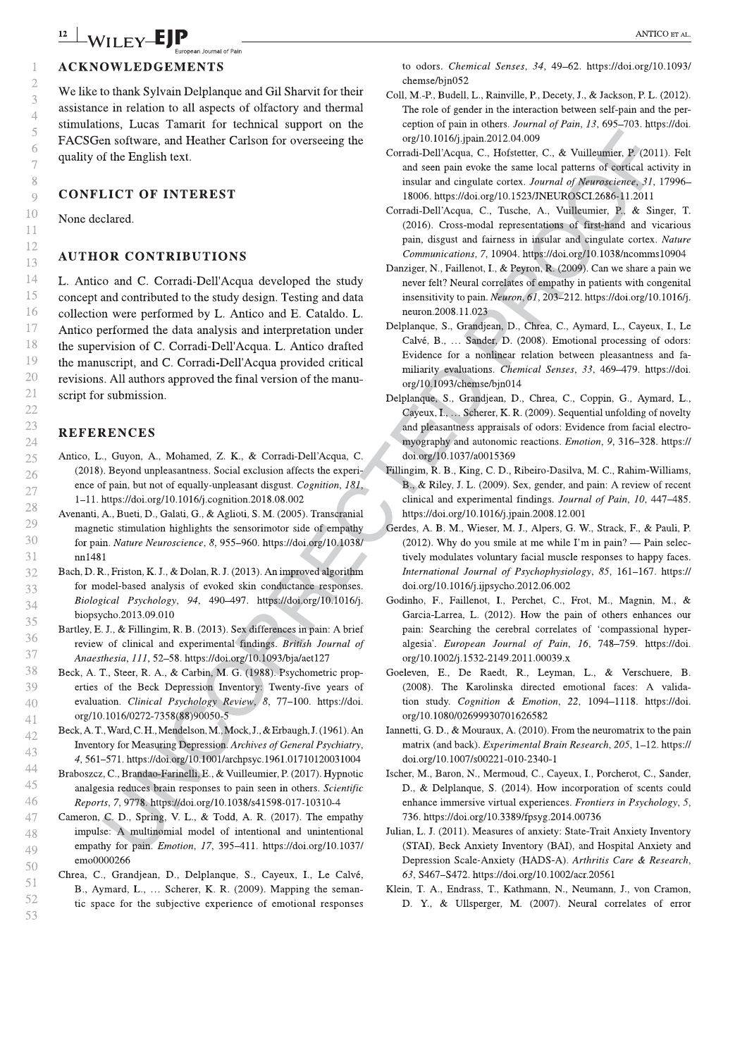$\frac{12}{2}$ WILEY-EJP

# **ACKNOWLEDGEMENTS**

We like to thank Sylvain Delplangue and Gil Sharvit for their assistance in relation to all aspects of olfactory and thermal stimulations, Lucas Tamarit for technical support on the FACSGen software, and Heather Carlson for overseeing the quality of the English text.

Journal of Pain

# **CONFLICT OF INTEREST**

None declared.

# **AUTHOR CONTRIBUTIONS**

L. Antico and C. Corradi-Dell'Acqua developed the study concept and contributed to the study design. Testing and data collection were performed by L. Antico and E. Cataldo. L. Antico performed the data analysis and interpretation under the supervision of C. Corradi-Dell'Acqua. L. Antico drafted the manuscript, and C. Corradi-Dell'Acqua provided critical revisions. All authors approved the final version of the manuscript for submission.

# **REFERENCES**

- Antico, L., Guyon, A., Mohamed, Z. K., & Corradi-Dell'Acqua, C. (2018). Beyond unpleasantness. Social exclusion affects the experience of pain, but not of equally-unpleasant disgust. Cognition, 181, 1-11. https://doi.org/10.1016/j.cognition.2018.08.002
- Avenanti, A., Bueti, D., Galati, G., & Aglioti, S. M. (2005). Transcranial magnetic stimulation highlights the sensorimotor side of empathy for pain. Nature Neuroscience, 8, 955-960. https://doi.org/10.1038/ nn1481
- Bach, D. R., Friston, K. J., & Dolan, R. J. (2013). An improved algorithm for model-based analysis of evoked skin conductance responses. Biological Psychology, 94, 490-497. https://doi.org/10.1016/j. biopsycho.2013.09.010
- Bartley, E. J., & Fillingim, R. B. (2013). Sex differences in pain: A brief review of clinical and experimental findings. British Journal of Anaesthesia, 111, 52-58. https://doi.org/10.1093/bja/aet127
- Beck, A. T., Steer, R. A., & Carbin, M. G. (1988). Psychometric properties of the Beck Depression Inventory: Twenty-five years of evaluation. Clinical Psychology Review, 8, 77-100. https://doi. org/10.1016/0272-7358(88)90050-5
- Beck, A.T., Ward, C.H., Mendelson, M., Mock, J., & Erbaugh, J. (1961). An Inventory for Measuring Depression. Archives of General Psychiatry, 4, 561-571. https://doi.org/10.1001/archpsyc.1961.01710120031004
- Braboszcz, C., Brandao-Farinelli, E., & Vuilleumier, P. (2017). Hypnotic analgesia reduces brain responses to pain seen in others. Scientific Reports, 7, 9778. https://doi.org/10.1038/s41598-017-10310-4
- Cameron, C. D., Spring, V. L., & Todd, A. R. (2017). The empathy impulse: A multinomial model of intentional and unintentional empathy for pain. *Emotion*, 17, 395-411. https://doi.org/10.1037/ emo0000266
- Chrea, C., Grandjean, D., Delplanque, S., Cayeux, I., Le Calvé, B., Aymard, L., ... Scherer, K. R. (2009). Mapping the semantic space for the subjective experience of emotional responses

to odors. Chemical Senses, 34, 49-62. https://doi.org/10.1093/ chemse/bin052

- Coll, M.-P., Budell, L., Rainville, P., Decety, J., & Jackson, P. L. (2012). The role of gender in the interaction between self-pain and the perception of pain in others. Journal of Pain, 13, 695-703. https://doi. org/10.1016/j.jpain.2012.04.009
- Corradi-Dell'Acqua, C., Hofstetter, C., & Vuilleumier, P. (2011). Felt and seen pain evoke the same local patterns of cortical activity in insular and cingulate cortex. Journal of Neuroscience, 31, 17996-18006. https://doi.org/10.1523/JNEUROSCI.2686-11.2011
- Corradi-Dell'Acqua, C., Tusche, A., Vuilleumier, P., & Singer, T. (2016). Cross-modal representations of first-hand and vicarious pain, disgust and fairness in insular and cingulate cortex. Nature Communications, 7, 10904. https://doi.org/10.1038/ncomms10904
- Danziger, N., Faillenot, I., & Peyron, R. (2009). Can we share a pain we never felt? Neural correlates of empathy in patients with congenital insensitivity to pain. Neuron, 61, 203-212. https://doi.org/10.1016/j. neuron.2008.11.023
- Delplanque, S., Grandjean, D., Chrea, C., Aymard, L., Cayeux, I., Le Calvé, B., ... Sander, D. (2008). Emotional processing of odors: Evidence for a nonlinear relation between pleasantness and familiarity evaluations. Chemical Senses, 33, 469-479. https://doi. org/10.1093/chemse/bjn014
- Delplanque, S., Grandjean, D., Chrea, C., Coppin, G., Aymard, L., Cayeux, I., ... Scherer, K. R. (2009). Sequential unfolding of novelty and pleasantness appraisals of odors: Evidence from facial electromyography and autonomic reactions. *Emotion*, 9, 316–328. https:// doi.org/10.1037/a0015369
- Fillingim, R. B., King, C. D., Ribeiro-Dasilva, M. C., Rahim-Williams, B., & Riley, J. L. (2009). Sex, gender, and pain: A review of recent clinical and experimental findings. Journal of Pain, 10, 447-485. https://doi.org/10.1016/j.jpain.2008.12.001
- Gerdes, A. B. M., Wieser, M. J., Alpers, G. W., Strack, F., & Pauli, P.  $(2012)$ . Why do you smile at me while I'm in pain? — Pain selectively modulates voluntary facial muscle responses to happy faces. International Journal of Psychophysiology, 85, 161-167. https:// doi.org/10.1016/j.ijpsycho.2012.06.002
- Godinho, F., Faillenot, I., Perchet, C., Frot, M., Magnin, M., & Garcia-Larrea, L. (2012). How the pain of others enhances our pain: Searching the cerebral correlates of 'compassional hyperalgesia'. European Journal of Pain, 16, 748-759. https://doi. org/10.1002/j.1532-2149.2011.00039.x
- Goeleven, E., De Raedt, R., Leyman, L., & Verschuere, B. (2008). The Karolinska directed emotional faces: A validation study. Cognition & Emotion, 22, 1094-1118. https://doi. org/10.1080/02699930701626582
- Iannetti, G. D., & Mouraux, A. (2010). From the neuromatrix to the pain matrix (and back). Experimental Brain Research, 205, 1-12. https:// doi.org/10.1007/s00221-010-2340-1
- Ischer, M., Baron, N., Mermoud, C., Cayeux, I., Porcherot, C., Sander, D., & Delplanque, S. (2014). How incorporation of scents could enhance immersive virtual experiences. Frontiers in Psychology, 5, 736. https://doi.org/10.3389/fpsyg.2014.00736
- Julian, L. J. (2011). Measures of anxiety: State-Trait Anxiety Inventory (STAI), Beck Anxiety Inventory (BAI), and Hospital Anxiety and Depression Scale-Anxiety (HADS-A). Arthritis Care & Research, 63, S467-S472. https://doi.org/10.1002/acr.20561
- Klein, T. A., Endrass, T., Kathmann, N., Neumann, J., von Cramon, D. Y., & Ullsperger, M. (2007). Neural correlates of error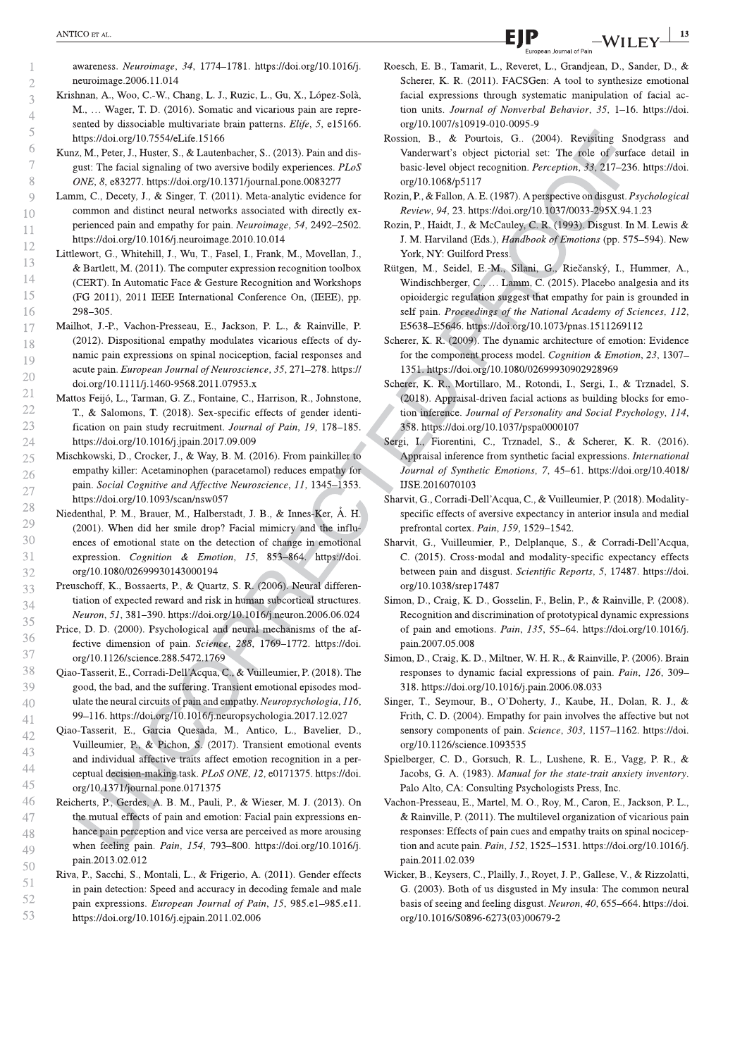$\overline{2}$ 

3

 $\overline{4}$ 

5

6

 $\overline{7}$ 

8

 $\overline{Q}$ 

10

 $11$ 

12

13

14

15

16

17

18

 $19$ 

20

21

22

23

24

36

37

13

awareness. Neuroimage, 34, 1774-1781. https://doi.org/10.1016/j. neuroimage.2006.11.014

- Krishnan, A., Woo, C.-W., Chang, L. J., Ruzic, L., Gu, X., López-Solà, M., ... Wager, T. D. (2016). Somatic and vicarious pain are represented by dissociable multivariate brain patterns. Elife, 5, e15166. https://doi.org/10.7554/eLife.15166
- Kunz, M., Peter, J., Huster, S., & Lautenbacher, S.. (2013). Pain and disgust: The facial signaling of two aversive bodily experiences. PLoS ONE, 8, e83277. https://doi.org/10.1371/journal.pone.0083277
- Lamm, C., Decety, J., & Singer, T. (2011). Meta-analytic evidence for common and distinct neural networks associated with directly experienced pain and empathy for pain. Neuroimage, 54, 2492-2502. https://doi.org/10.1016/j.neuroimage.2010.10.014
- Littlewort, G., Whitehill, J., Wu, T., Fasel, I., Frank, M., Movellan, J., & Bartlett, M.  $(2011)$ . The computer expression recognition toolbox (CERT). In Automatic Face & Gesture Recognition and Workshops (FG 2011), 2011 IEEE International Conference On, (IEEE), pp. 298-305.
- Mailhot, J.-P., Vachon-Presseau, E., Jackson, P. L., & Rainville, P. (2012). Dispositional empathy modulates vicarious effects of dynamic pain expressions on spinal nociception, facial responses and acute pain. European Journal of Neuroscience, 35, 271-278. https:// doi.org/10.1111/j.1460-9568.2011.07953.x
- Mattos Feijó, L., Tarman, G. Z., Fontaine, C., Harrison, R., Johnstone, T., & Salomons, T. (2018). Sex-specific effects of gender identification on pain study recruitment. Journal of Pain, 19, 178-185. https://doi.org/10.1016/j.jpain.2017.09.009
- Mischkowski, D., Crocker, J., & Way, B. M. (2016). From painkiller to 25 empathy killer: Acetaminophen (paracetamol) reduces empathy for 26 pain. Social Cognitive and Affective Neuroscience, 11, 1345-1353. 27 https://doi.org/10.1093/scan/nsw057
- 28 Niedenthal, P. M., Brauer, M., Halberstadt, J. B., & Innes-Ker, Å. H. 29 (2001). When did her smile drop? Facial mimicry and the influ-30 ences of emotional state on the detection of change in emotional 31 expression. Cognition & Emotion, 15, 853-864. https://doi. org/10.1080/02699930143000194 32
- Preuschoff, K., Bossaerts, P., & Quartz, S. R. (2006). Neural differen-33 tiation of expected reward and risk in human subcortical structures. 34 Neuron, 51, 381-390. https://doi.org/10.1016/j.neuron.2006.06.024 35
	- Price, D. D. (2000). Psychological and neural mechanisms of the affective dimension of pain. Science, 288, 1769-1772. https://doi. org/10.1126/science.288.5472.1769
- 38 Qiao-Tasserit, E., Corradi-Dell'Acqua, C., & Vuilleumier, P. (2018). The 39 good, the bad, and the suffering. Transient emotional episodes modulate the neural circuits of pain and empathy. Neuropsychologia, 116, 40 99-116. https://doi.org/10.1016/j.neuropsychologia.2017.12.027  $41$
- Qiao-Tasserit, E., Garcia Quesada, M., Antico, L., Bavelier, D., 42 Vuilleumier, P., & Pichon, S. (2017). Transient emotional events 43 and individual affective traits affect emotion recognition in a per-44 ceptual decision-making task. PLoS ONE, 12, e0171375. https://doi. 45 org/10.1371/journal.pone.0171375
- 46 Reicherts, P., Gerdes, A. B. M., Pauli, P., & Wieser, M. J. (2013). On 47 the mutual effects of pain and emotion: Facial pain expressions enhance pain perception and vice versa are perceived as more arousing 48 when feeling pain. Pain, 154, 793-800. https://doi.org/10.1016/j. 49 pain.2013.02.012 50
- Riva, P., Sacchi, S., Montali, L., & Frigerio, A. (2011). Gender effects 51 in pain detection: Speed and accuracy in decoding female and male 52 pain expressions. European Journal of Pain, 15, 985.e1-985.e11. 53 https://doi.org/10.1016/j.ejpain.2011.02.006
- an Journal of Pain  $-WILEY$ Roesch, E. B., Tamarit, L., Reveret, L., Grandjean, D., Sander, D., & Scherer, K. R. (2011). FACSGen: A tool to synthesize emotional facial expressions through systematic manipulation of facial action units. Journal of Nonverbal Behavior, 35, 1-16. https://doi. org/10.1007/s10919-010-0095-9
- Rossion, B., & Pourtois, G. (2004). Revisiting Snodgrass and Vanderwart's object pictorial set: The role of surface detail in basic-level object recognition. Perception, 33, 217-236. https://doi. org/10.1068/p5117
- Rozin, P., & Fallon, A. E. (1987). A perspective on disgust. Psychological Review, 94, 23. https://doi.org/10.1037/0033-295X.94.1.23
- Rozin, P., Haidt, J., & McCauley, C. R. (1993). Disgust. In M. Lewis & J. M. Harviland (Eds.), Handbook of Emotions (pp. 575-594). New York, NY: Guilford Press.
- Rütgen, M., Seidel, E.-M., Silani, G., Riečanský, I., Hummer, A., Windischberger, C., ... Lamm, C. (2015). Placebo analgesia and its opioidergic regulation suggest that empathy for pain is grounded in self pain. Proceedings of the National Academy of Sciences, 112, E5638-E5646. https://doi.org/10.1073/pnas.1511269112
- Scherer, K. R. (2009). The dynamic architecture of emotion: Evidence for the component process model. Cognition & Emotion, 23, 1307– 1351. https://doi.org/10.1080/02699930902928969
- Scherer, K. R., Mortillaro, M., Rotondi, I., Sergi, I., & Trznadel, S. (2018). Appraisal-driven facial actions as building blocks for emotion inference. Journal of Personality and Social Psychology, 114, 358. https://doi.org/10.1037/pspa0000107
- Sergi, I., Fiorentini, C., Trznadel, S., & Scherer, K. R. (2016). Appraisal inference from synthetic facial expressions. International Journal of Synthetic Emotions, 7, 45-61. https://doi.org/10.4018/ IJSE.2016070103
- Sharvit, G., Corradi-Dell'Acqua, C., & Vuilleumier, P. (2018). Modalityspecific effects of aversive expectancy in anterior insula and medial prefrontal cortex. Pain, 159, 1529-1542.
- Sharvit, G., Vuilleumier, P., Delplanque, S., & Corradi-Dell'Acqua, C. (2015). Cross-modal and modality-specific expectancy effects between pain and disgust. Scientific Reports, 5, 17487. https://doi. org/10.1038/srep17487
- Simon, D., Craig, K. D., Gosselin, F., Belin, P., & Rainville, P. (2008). Recognition and discrimination of prototypical dynamic expressions of pain and emotions. Pain, 135, 55-64. https://doi.org/10.1016/j. pain.2007.05.008
- Simon, D., Craig, K. D., Miltner, W. H. R., & Rainville, P. (2006). Brain responses to dynamic facial expressions of pain. Pain, 126, 309-318. https://doi.org/10.1016/j.pain.2006.08.033
- Singer, T., Seymour, B., O'Doherty, J., Kaube, H., Dolan, R. J., & Frith, C. D. (2004). Empathy for pain involves the affective but not sensory components of pain. Science, 303, 1157-1162. https://doi. org/10.1126/science.1093535
- Spielberger, C. D., Gorsuch, R. L., Lushene, R. E., Vagg, P. R., & Jacobs, G. A. (1983). Manual for the state-trait anxiety inventory. Palo Alto, CA: Consulting Psychologists Press, Inc.
- Vachon-Presseau, E., Martel, M. O., Roy, M., Caron, E., Jackson, P. L., & Rainville, P. (2011). The multilevel organization of vicarious pain responses: Effects of pain cues and empathy traits on spinal nociception and acute pain. Pain, 152, 1525-1531. https://doi.org/10.1016/j. pain.2011.02.039
- Wicker, B., Keysers, C., Plailly, J., Royet, J. P., Gallese, V., & Rizzolatti, G. (2003). Both of us disgusted in My insula: The common neural basis of seeing and feeling disgust. Neuron, 40, 655–664. https://doi. org/10.1016/S0896-6273(03)00679-2